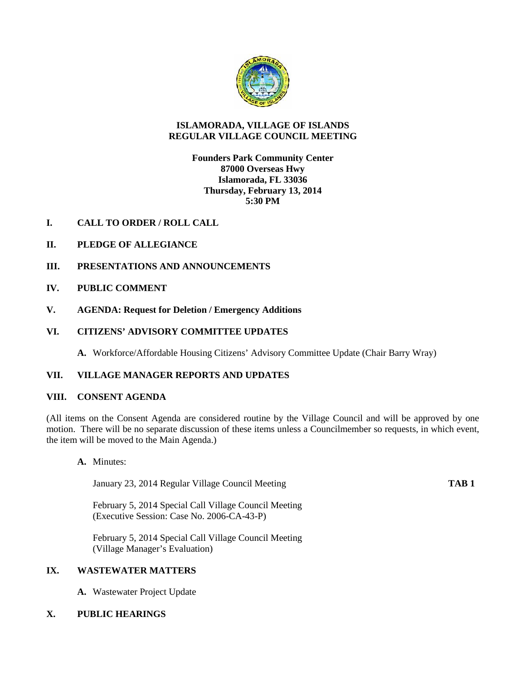

## **ISLAMORADA, VILLAGE OF ISLANDS REGULAR VILLAGE COUNCIL MEETING**

# **Founders Park Community Center 87000 Overseas Hwy Islamorada, FL 33036 Thursday, February 13, 2014 5:30 PM**

- **I. CALL TO ORDER / ROLL CALL**
- **II. PLEDGE OF ALLEGIANCE**
- **III. PRESENTATIONS AND ANNOUNCEMENTS**
- **IV. PUBLIC COMMENT**
- **V. AGENDA: Request for Deletion / Emergency Additions**

## **VI. CITIZENS' ADVISORY COMMITTEE UPDATES**

**A.** Workforce/Affordable Housing Citizens' Advisory Committee Update (Chair Barry Wray)

## **VII. VILLAGE MANAGER REPORTS AND UPDATES**

### **VIII. CONSENT AGENDA**

(All items on the Consent Agenda are considered routine by the Village Council and will be approved by one motion. There will be no separate discussion of these items unless a Councilmember so requests, in which event, the item will be moved to the Main Agenda.)

**A.** Minutes:

January 23, 2014 Regular Village Council Meeting **TAB 1**

February 5, 2014 Special Call Village Council Meeting (Executive Session: Case No. 2006-CA-43-P)

February 5, 2014 Special Call Village Council Meeting (Village Manager's Evaluation)

## **IX. WASTEWATER MATTERS**

**A.** Wastewater Project Update

## **X. PUBLIC HEARINGS**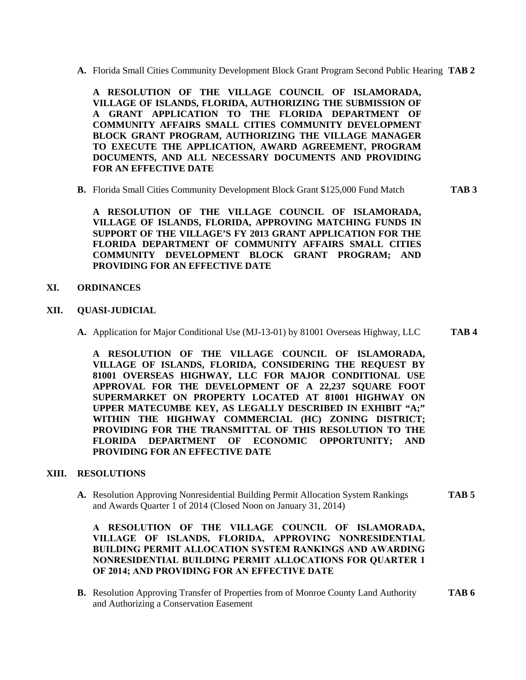**A.** Florida Small Cities Community Development Block Grant Program Second Public Hearing **TAB 2**

**A RESOLUTION OF THE VILLAGE COUNCIL OF ISLAMORADA, VILLAGE OF ISLANDS, FLORIDA, AUTHORIZING THE SUBMISSION OF A GRANT APPLICATION TO THE FLORIDA DEPARTMENT OF COMMUNITY AFFAIRS SMALL CITIES COMMUNITY DEVELOPMENT BLOCK GRANT PROGRAM, AUTHORIZING THE VILLAGE MANAGER TO EXECUTE THE APPLICATION, AWARD AGREEMENT, PROGRAM DOCUMENTS, AND ALL NECESSARY DOCUMENTS AND PROVIDING FOR AN EFFECTIVE DATE**

**B.** Florida Small Cities Community Development Block Grant \$125,000 Fund Match **TAB 3**

**A RESOLUTION OF THE VILLAGE COUNCIL OF ISLAMORADA, VILLAGE OF ISLANDS, FLORIDA, APPROVING MATCHING FUNDS IN SUPPORT OF THE VILLAGE'S FY 2013 GRANT APPLICATION FOR THE FLORIDA DEPARTMENT OF COMMUNITY AFFAIRS SMALL CITIES COMMUNITY DEVELOPMENT BLOCK GRANT PROGRAM; AND PROVIDING FOR AN EFFECTIVE DATE**

- **XI. ORDINANCES**
- **XII. QUASI-JUDICIAL**
	- **A.** Application for Major Conditional Use (MJ-13-01) by 81001 Overseas Highway, LLC **TAB 4**

**A RESOLUTION OF THE VILLAGE COUNCIL OF ISLAMORADA, VILLAGE OF ISLANDS, FLORIDA, CONSIDERING THE REQUEST BY 81001 OVERSEAS HIGHWAY, LLC FOR MAJOR CONDITIONAL USE APPROVAL FOR THE DEVELOPMENT OF A 22,237 SQUARE FOOT SUPERMARKET ON PROPERTY LOCATED AT 81001 HIGHWAY ON UPPER MATECUMBE KEY, AS LEGALLY DESCRIBED IN EXHIBIT "A;" WITHIN THE HIGHWAY COMMERCIAL (HC) ZONING DISTRICT; PROVIDING FOR THE TRANSMITTAL OF THIS RESOLUTION TO THE FLORIDA DEPARTMENT OF ECONOMIC OPPORTUNITY; AND PROVIDING FOR AN EFFECTIVE DATE**

## **XIII. RESOLUTIONS**

**A.** Resolution Approving Nonresidential Building Permit Allocation System Rankings **TAB 5** and Awards Quarter 1 of 2014 (Closed Noon on January 31, 2014)

**A RESOLUTION OF THE VILLAGE COUNCIL OF ISLAMORADA, VILLAGE OF ISLANDS, FLORIDA, APPROVING NONRESIDENTIAL BUILDING PERMIT ALLOCATION SYSTEM RANKINGS AND AWARDING NONRESIDENTIAL BUILDING PERMIT ALLOCATIONS FOR QUARTER 1 OF 2014; AND PROVIDING FOR AN EFFECTIVE DATE**

**B.** Resolution Approving Transfer of Properties from of Monroe County Land Authority **TAB 6** and Authorizing a Conservation Easement